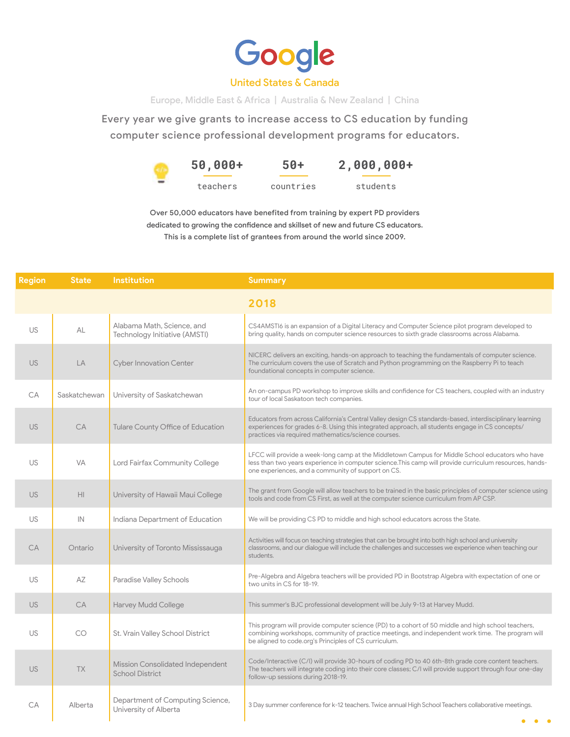

## United States & Canada

Europe, Middle East & Africa | Australia & New Zealand | China

Every year we give grants to increase access to CS education by funding computer science professional development programs for educators.

> **50,000+** teachers **50+** countries **2,000,000+** students

Over 50,000 educators have benefited from training by expert PD providers dedicated to growing the confidence and skillset of new and future CS educators. This is a complete list of grantees from around the world since 2009.

| <b>Region</b> | <b>State</b> | <b>Institution</b>                                          | <b>Summary</b>                                                                                                                                                                                                                                                    |  |  |
|---------------|--------------|-------------------------------------------------------------|-------------------------------------------------------------------------------------------------------------------------------------------------------------------------------------------------------------------------------------------------------------------|--|--|
|               |              |                                                             | 2018                                                                                                                                                                                                                                                              |  |  |
| US            | AL           | Alabama Math, Science, and<br>Technology Initiative (AMSTI) | CS4AMSTI6 is an expansion of a Digital Literacy and Computer Science pilot program developed to<br>bring quality, hands on computer science resources to sixth grade classrooms across Alabama.                                                                   |  |  |
| <b>US</b>     | LA           | <b>Cyber Innovation Center</b>                              | NICERC delivers an exciting, hands-on approach to teaching the fundamentals of computer science.<br>The curriculum covers the use of Scratch and Python programming on the Raspberry Pi to teach<br>foundational concepts in computer science.                    |  |  |
| CA            | Saskatchewan | University of Saskatchewan                                  | An on-campus PD workshop to improve skills and confidence for CS teachers, coupled with an industry<br>tour of local Saskatoon tech companies.                                                                                                                    |  |  |
| <b>US</b>     | <b>CA</b>    | <b>Tulare County Office of Education</b>                    | Educators from across California's Central Valley design CS standards-based, interdisciplinary learning<br>experiences for grades 6-8. Using this integrated approach, all students engage in CS concepts/<br>practices via required mathematics/science courses. |  |  |
| US            | <b>VA</b>    | Lord Fairfax Community College                              | LFCC will provide a week-long camp at the Middletown Campus for Middle School educators who have<br>less than two years experience in computer science. This camp will provide curriculum resources, hands-<br>one experiences, and a community of support on CS. |  |  |
| <b>US</b>     | HI           | University of Hawaii Maui College                           | The grant from Google will allow teachers to be trained in the basic principles of computer science using<br>tools and code from CS First, as well at the computer science curriculum from AP CSP.                                                                |  |  |
| US            | IN           | Indiana Department of Education                             | We will be providing CS PD to middle and high school educators across the State.                                                                                                                                                                                  |  |  |
| <b>CA</b>     | Ontario      | University of Toronto Mississauga                           | Activities will focus on teaching strategies that can be brought into both high school and university<br>classrooms, and our dialogue will include the challenges and successes we experience when teaching our<br>students.                                      |  |  |
| US            | AZ           | <b>Paradise Valley Schools</b>                              | Pre-Algebra and Algebra teachers will be provided PD in Bootstrap Algebra with expectation of one or<br>two units in CS for 18-19.                                                                                                                                |  |  |
| <b>US</b>     | <b>CA</b>    | <b>Harvey Mudd College</b>                                  | This summer's BJC professional development will be July 9-13 at Harvey Mudd.                                                                                                                                                                                      |  |  |
| US            | CO.          | St. Vrain Valley School District                            | This program will provide computer science (PD) to a cohort of 50 middle and high school teachers,<br>combining workshops, community of practice meetings, and independent work time. The program will<br>be aligned to code.org's Principles of CS curriculum.   |  |  |
| <b>US</b>     | <b>TX</b>    | Mission Consolidated Independent<br><b>School District</b>  | Code/Interactive (C/I) will provide 30-hours of coding PD to 40 6th-8th grade core content teachers.<br>The teachers will integrate coding into their core classes; C/I will provide support through four one-day<br>follow-up sessions during 2018-19.           |  |  |
| CA            | Alberta      | Department of Computing Science,<br>University of Alberta   | 3 Day summer conference for k-12 teachers. Twice annual High School Teachers collaborative meetings.<br>$\bullet\quad \bullet\quad$                                                                                                                               |  |  |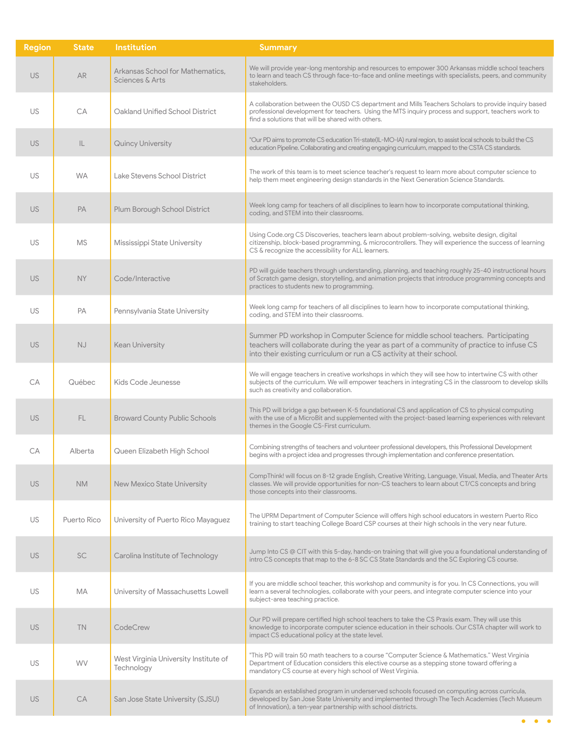| <b>Region</b> | <b>State</b> | <b>Institution</b>                                  | <b>Summary</b>                                                                                                                                                                                                                                                  |
|---------------|--------------|-----------------------------------------------------|-----------------------------------------------------------------------------------------------------------------------------------------------------------------------------------------------------------------------------------------------------------------|
| <b>US</b>     | <b>AR</b>    | Arkansas School for Mathematics.<br>Sciences & Arts | We will provide year-long mentorship and resources to empower 300 Arkansas middle school teachers<br>to learn and teach CS through face-to-face and online meetings with specialists, peers, and community<br>stakeholders.                                     |
| US            | CA           | Oakland Unified School District                     | A collaboration between the OUSD CS department and Mills Teachers Scholars to provide inquiry based<br>professional development for teachers. Using the MTS inquiry process and support, teachers work to<br>find a solutions that will be shared with others.  |
| <b>US</b>     | IL           | Quincy University                                   | "Our PD aims to promote CS education Tri-state(IL-MO-IA) rural region, to assist local schools to build the CS<br>education Pipeline. Collaborating and creating engaging curriculum, mapped to the CSTA CS standards.                                          |
| US            | <b>WA</b>    | Lake Stevens School District                        | The work of this team is to meet science teacher's request to learn more about computer science to<br>help them meet engineering design standards in the Next Generation Science Standards.                                                                     |
| US.           | PA           | Plum Borough School District                        | Week long camp for teachers of all disciplines to learn how to incorporate computational thinking,<br>coding, and STEM into their classrooms.                                                                                                                   |
| US            | <b>MS</b>    | Mississippi State University                        | Using Code.org CS Discoveries, teachers learn about problem-solving, website design, digital<br>citizenship, block-based programming, & microcontrollers. They will experience the success of learning<br>CS & recognize the accessibility for ALL learners.    |
| <b>US</b>     | <b>NY</b>    | Code/Interactive                                    | PD will guide teachers through understanding, planning, and teaching roughly 25-40 instructional hours<br>of Scratch game design, storytelling, and animation projects that introduce programming concepts and<br>practices to students new to programming.     |
| <b>US</b>     | PA           | Pennsylvania State University                       | Week long camp for teachers of all disciplines to learn how to incorporate computational thinking,<br>coding, and STEM into their classrooms.                                                                                                                   |
| <b>US</b>     | <b>NJ</b>    | <b>Kean University</b>                              | Summer PD workshop in Computer Science for middle school teachers. Participating<br>teachers will collaborate during the year as part of a community of practice to infuse CS<br>into their existing curriculum or run a CS activity at their school.           |
| СA            | Québec       | Kids Code Jeunesse                                  | We will engage teachers in creative workshops in which they will see how to intertwine CS with other<br>subjects of the curriculum. We will empower teachers in integrating CS in the classroom to develop skills<br>such as creativity and collaboration.      |
| <b>US</b>     | FL.          | <b>Broward County Public Schools</b>                | This PD will bridge a gap between K-5 foundational CS and application of CS to physical computing<br>with the use of a MicroBit and supplemented with the project-based learning experiences with relevant<br>themes in the Google CS-First curriculum.         |
| CA            | Alberta      | Queen Elizabeth High School                         | Combining strengths of teachers and volunteer professional developers, this Professional Development<br>begins with a project idea and progresses through implementation and conference presentation.                                                           |
| <b>US</b>     | <b>NM</b>    | <b>New Mexico State University</b>                  | CompThink! will focus on 8-12 grade English, Creative Writing, Language, Visual, Media, and Theater Arts<br>classes. We will provide opportunities for non-CS teachers to learn about CT/CS concepts and bring<br>those concepts into their classrooms.         |
| US.           | Puerto Rico  | University of Puerto Rico Mayaguez                  | The UPRM Department of Computer Science will offers high school educators in western Puerto Rico<br>training to start teaching College Board CSP courses at their high schools in the very near future.                                                         |
| <b>US</b>     | <b>SC</b>    | Carolina Institute of Technology                    | Jump Into CS @ CIT with this 5-day, hands-on training that will give you a foundational understanding of<br>intro CS concepts that map to the 6-8 SC CS State Standards and the SC Exploring CS course.                                                         |
| US            | МA           | University of Massachusetts Lowell                  | If you are middle school teacher, this workshop and community is for you. In CS Connections, you will<br>learn a several technologies, collaborate with your peers, and integrate computer science into your<br>subject-area teaching practice.                 |
| <b>US</b>     | <b>TN</b>    | CodeCrew                                            | Our PD will prepare certified high school teachers to take the CS Praxis exam. They will use this<br>knowledge to incorporate computer science education in their schools. Our CSTA chapter will work to<br>impact CS educational policy at the state level.    |
| US            | <b>WV</b>    | West Virginia University Institute of<br>Technology | "This PD will train 50 math teachers to a course "Computer Science & Mathematics." West Virginia<br>Department of Education considers this elective course as a stepping stone toward offering a<br>mandatory CS course at every high school of West Virginia.  |
| <b>US</b>     | <b>CA</b>    | San Jose State University (SJSU)                    | Expands an established program in underserved schools focused on computing across curricula,<br>developed by San Jose State University and implemented through The Tech Academies (Tech Museum<br>of Innovation), a ten-year partnership with school districts. |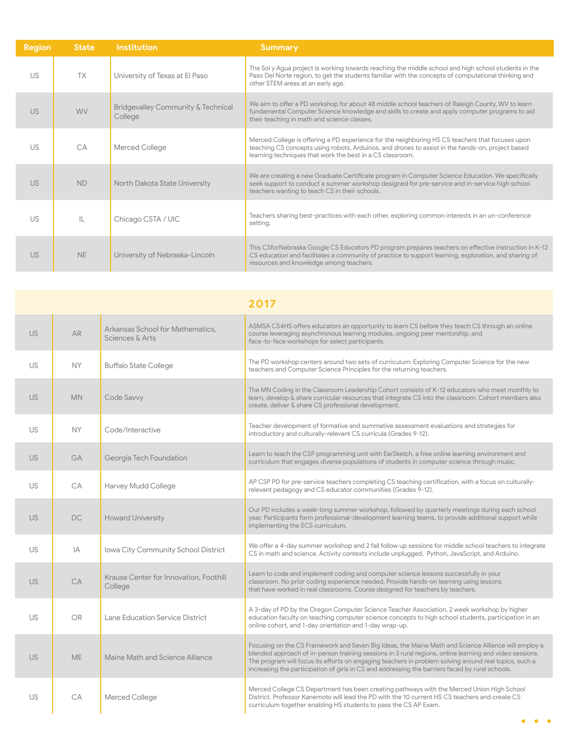| <b>Region</b> | <b>State</b> | <b>Institution</b>                            | <b>Summary</b>                                                                                                                                                                                                                                                   |
|---------------|--------------|-----------------------------------------------|------------------------------------------------------------------------------------------------------------------------------------------------------------------------------------------------------------------------------------------------------------------|
| US            | <b>TX</b>    | University of Texas at El Paso                | The Sol y Agua project is working towards reaching the middle school and high school students in the<br>Paso Del Norte region, to get the students familiar with the concepts of computational thinking and<br>other STEM areas at an early age.                 |
| <b>US</b>     | <b>WV</b>    | Bridgevalley Community & Technical<br>College | We aim to offer a PD workshop for about 48 middle school teachers of Raleigh County, WV to learn<br>fundamental Computer Science knowledge and skills to create and apply computer programs to aid<br>their teaching in math and science classes.                |
| US            | CA           | Merced College                                | Merced College is offering a PD experience for the neighboring HS CS teachers that focuses upon<br>teaching CS concepts using robots, Arduinos, and drones to assist in the hands-on, project based<br>learning techniques that work the best in a CS classroom. |
| <b>US</b>     | <b>ND</b>    | North Dakota State University                 | We are creating a new Graduate Certificate program in Computer Science Education. We specifically<br>seek support to conduct a summer workshop designed for pre-service and in-service high school<br>teachers wanting to teach CS in their schools.             |
| US            | IL           | Chicago CSTA / UIC                            | Teachers sharing best-practices with each other, exploring common interests in an un-conference<br>setting.                                                                                                                                                      |
| <b>US</b>     | <b>NE</b>    | University of Nebraska-Lincoln                | This CSforNebraska Google CS Educators PD program prepares teachers on effective instruction in K-12<br>CS education and facilitates a community of practice to support learning, exploration, and sharing of<br>resources and knowledge among teachers.         |

|           |           |                                                     | 2017                                                                                                                                                                                                                                                                                                                                                                                                                       |
|-----------|-----------|-----------------------------------------------------|----------------------------------------------------------------------------------------------------------------------------------------------------------------------------------------------------------------------------------------------------------------------------------------------------------------------------------------------------------------------------------------------------------------------------|
| <b>US</b> | <b>AR</b> | Arkansas School for Mathematics.<br>Sciences & Arts | ASMSA CS4HS offers educators an opportunity to learn CS before they teach CS through an online<br>course leveraging asynchronous learning modules, ongoing peer mentorship, and<br>face-to-face workshops for select participants.                                                                                                                                                                                         |
| US        | <b>NY</b> | <b>Buffalo State College</b>                        | The PD workshop centers around two sets of curriculum: Exploring Computer Science for the new<br>teachers and Computer Science Principles for the returning teachers.                                                                                                                                                                                                                                                      |
| <b>US</b> | <b>MN</b> | Code Savvy                                          | The MN Coding in the Classroom Leadership Cohort consists of K-12 educators who meet monthly to<br>learn, develop & share curricular resources that integrate CS into the classroom. Cohort members also<br>create, deliver & share CS professional development.                                                                                                                                                           |
| US        | <b>NY</b> | Code/Interactive                                    | Teacher development of formative and summative assessment evaluations and strategies for<br>introductory and culturally-relevant CS curricula (Grades 9-12).                                                                                                                                                                                                                                                               |
| <b>US</b> | <b>GA</b> | Georgia Tech Foundation                             | Learn to teach the CSP programming unit with EarSketch, a free online learning environment and<br>curriculum that engages diverse populations of students in computer science through music.                                                                                                                                                                                                                               |
| US        | CA        | Harvey Mudd College                                 | AP CSP PD for pre-service teachers completing CS teaching certification, with a focus on culturally-<br>relevant pedagogy and CS educator communities (Grades 9-12).                                                                                                                                                                                                                                                       |
| <b>US</b> | DC.       | <b>Howard University</b>                            | Our PD includes a week-long summer workshop, followed by quarterly meetings during each school<br>year. Participants form professional-development learning teams, to provide additional support while<br>implementing the ECS curriculum.                                                                                                                                                                                 |
| <b>US</b> | IA        | Iowa City Community School District                 | We offer a 4-day summer workshop and 2 fall follow up sessions for middle school teachers to integrate<br>CS in math and science. Activity contexts include unplugged, Python, JavaScript, and Arduino.                                                                                                                                                                                                                    |
| <b>US</b> | CA        | Krause Center for Innovation, Foothill<br>College   | Learn to code and implement coding and computer science lessons successfully in your<br>classroom. No prior coding experience needed. Provide hands-on learning using lessons<br>that have worked in real classrooms. Course designed for teachers by teachers.                                                                                                                                                            |
| <b>US</b> | <b>OR</b> | Lane Education Service District                     | A 3-day of PD by the Oregon Computer Science Teacher Association, 2 week workshop by higher<br>education faculty on teaching computer science concepts to high school students, participation in an<br>online cohort, and 1-day orientation and 1-day wrap-up.                                                                                                                                                             |
| <b>US</b> | <b>ME</b> | Maine Math and Science Alliance                     | Focusing on the CS Framework and Seven Big Ideas, the Maine Math and Science Alliance will employ a<br>blended approach of in-person training sessions in 3 rural regions, online learning and video sessions.<br>The program will focus its efforts on engaging teachers in problem solving around real topics, such a<br>increasing the participation of girls in CS and addressing the barriers faced by rural schools. |
| US        | CA        | Merced College                                      | Merced College CS Department has been creating pathways with the Merced Union High School<br>District. Professor Kanemoto will lead the PD with the 10 current HS CS teachers and create CS<br>curriculum together enabling HS students to pass the CS AP Exam.                                                                                                                                                            |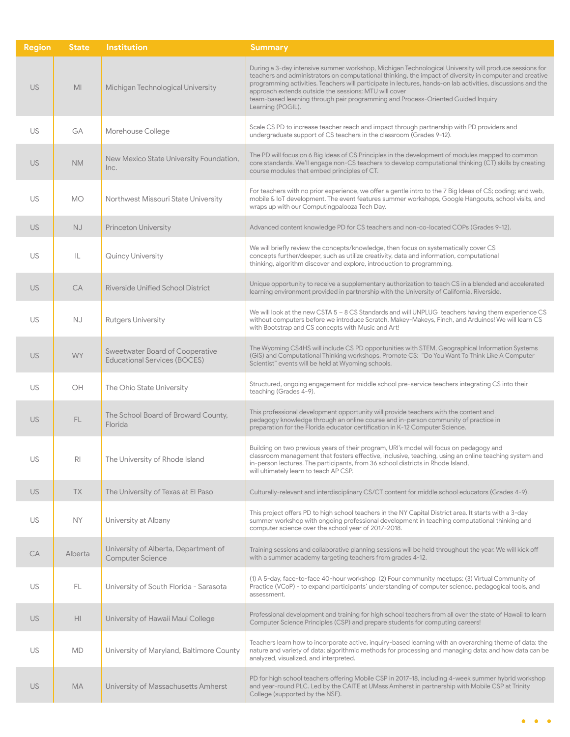| <b>Region</b> | <b>State</b>    | <b>Institution</b>                                                     | <b>Summary</b>                                                                                                                                                                                                                                                                                                                                                                                                                                                                                    |
|---------------|-----------------|------------------------------------------------------------------------|---------------------------------------------------------------------------------------------------------------------------------------------------------------------------------------------------------------------------------------------------------------------------------------------------------------------------------------------------------------------------------------------------------------------------------------------------------------------------------------------------|
| <b>US</b>     | MI              | Michigan Technological University                                      | During a 3-day intensive summer workshop, Michigan Technological University will produce sessions for<br>teachers and administrators on computational thinking, the impact of diversity in computer and creative<br>programming activities. Teachers will participate in lectures, hands-on lab activities, discussions and the<br>approach extends outside the sessions; MTU will cover<br>team-based learning through pair programming and Process-Oriented Guided Inquiry<br>Learning (POGIL). |
| US            | GA              | Morehouse College                                                      | Scale CS PD to increase teacher reach and impact through partnership with PD providers and<br>undergraduate support of CS teachers in the classroom (Grades 9-12).                                                                                                                                                                                                                                                                                                                                |
| <b>US</b>     | <b>NM</b>       | New Mexico State University Foundation,<br>Inc.                        | The PD will focus on 6 Big Ideas of CS Principles in the development of modules mapped to common<br>core standards. We'll engage non-CS teachers to develop computational thinking (CT) skills by creating<br>course modules that embed principles of CT.                                                                                                                                                                                                                                         |
| US            | <b>MO</b>       | Northwest Missouri State University                                    | For teachers with no prior experience, we offer a gentle intro to the 7 Big Ideas of CS; coding; and web,<br>mobile & IoT development. The event features summer workshops, Google Hangouts, school visits, and<br>wraps up with our Computingpalooza Tech Day.                                                                                                                                                                                                                                   |
| <b>US</b>     | <b>NJ</b>       | <b>Princeton University</b>                                            | Advanced content knowledge PD for CS teachers and non-co-located COPs (Grades 9-12).                                                                                                                                                                                                                                                                                                                                                                                                              |
| US            | IL              | Quincy University                                                      | We will briefly review the concepts/knowledge, then focus on systematically cover CS<br>concepts further/deeper, such as utilize creativity, data and information, computational<br>thinking, algorithm discover and explore, introduction to programming.                                                                                                                                                                                                                                        |
| <b>US</b>     | <b>CA</b>       | <b>Riverside Unified School District</b>                               | Unique opportunity to receive a supplementary authorization to teach CS in a blended and accelerated<br>learning environment provided in partnership with the University of California, Riverside.                                                                                                                                                                                                                                                                                                |
| US            | NJ.             | <b>Rutgers University</b>                                              | We will look at the new CSTA $5 - 8$ CS Standards and will UNPLUG teachers having them experience CS<br>without computers before we introduce Scratch, Makey-Makeys, Finch, and Arduinos! We will learn CS<br>with Bootstrap and CS concepts with Music and Art!                                                                                                                                                                                                                                  |
| <b>US</b>     | <b>WY</b>       | Sweetwater Board of Cooperative<br><b>Educational Services (BOCES)</b> | The Wyoming CS4HS will include CS PD opportunities with STEM, Geographical Information Systems<br>(GIS) and Computational Thinking workshops. Promote CS: "Do You Want To Think Like A Computer<br>Scientist" events will be held at Wyoming schools.                                                                                                                                                                                                                                             |
| US            | OH              | The Ohio State University                                              | Structured, ongoing engagement for middle school pre-service teachers integrating CS into their<br>teaching (Grades 4-9).                                                                                                                                                                                                                                                                                                                                                                         |
| <b>US</b>     | FL.             | The School Board of Broward County,<br>Florida                         | This professional development opportunity will provide teachers with the content and<br>pedagogy knowledge through an online course and in-person community of practice in<br>preparation for the Florida educator certification in K-12 Computer Science.                                                                                                                                                                                                                                        |
| US            | R               | The University of Rhode Island                                         | Building on two previous years of their program, URI's model will focus on pedagogy and<br>classroom management that fosters effective, inclusive, teaching, using an online teaching system and<br>in-person lectures. The participants, from 36 school districts in Rhode Island,<br>will ultimately learn to teach AP CSP.                                                                                                                                                                     |
| <b>US</b>     | <b>TX</b>       | The University of Texas at El Paso                                     | Culturally-relevant and interdisciplinary CS/CT content for middle school educators (Grades 4-9).                                                                                                                                                                                                                                                                                                                                                                                                 |
| US            | NY.             | University at Albany                                                   | This project offers PD to high school teachers in the NY Capital District area. It starts with a 3-day<br>summer workshop with ongoing professional development in teaching computational thinking and<br>computer science over the school year of 2017-2018.                                                                                                                                                                                                                                     |
| CA            | Alberta         | University of Alberta, Department of<br><b>Computer Science</b>        | Training sessions and collaborative planning sessions will be held throughout the year. We will kick off<br>with a summer academy targeting teachers from grades 4-12.                                                                                                                                                                                                                                                                                                                            |
| US            | FL.             | University of South Florida - Sarasota                                 | (1) A 5-day, face-to-face 40-hour workshop (2) Four community meetups; (3) Virtual Community of<br>Practice (VCoP) - to expand participants' understanding of computer science, pedagogical tools, and<br>assessment.                                                                                                                                                                                                                                                                             |
| <b>US</b>     | H <sub>II</sub> | University of Hawaii Maui College                                      | Professional development and training for high school teachers from all over the state of Hawaii to learn<br>Computer Science Principles (CSP) and prepare students for computing careers!                                                                                                                                                                                                                                                                                                        |
| US            | <b>MD</b>       | University of Maryland, Baltimore County                               | Teachers learn how to incorporate active, inquiry-based learning with an overarching theme of data: the<br>nature and variety of data; algorithmic methods for processing and managing data; and how data can be<br>analyzed, visualized, and interpreted.                                                                                                                                                                                                                                        |
| <b>US</b>     | МA              | University of Massachusetts Amherst                                    | PD for high school teachers offering Mobile CSP in 2017-18, including 4-week summer hybrid workshop<br>and year-round PLC. Led by the CAITE at UMass Amherst in partnership with Mobile CSP at Trinity<br>College (supported by the NSF).                                                                                                                                                                                                                                                         |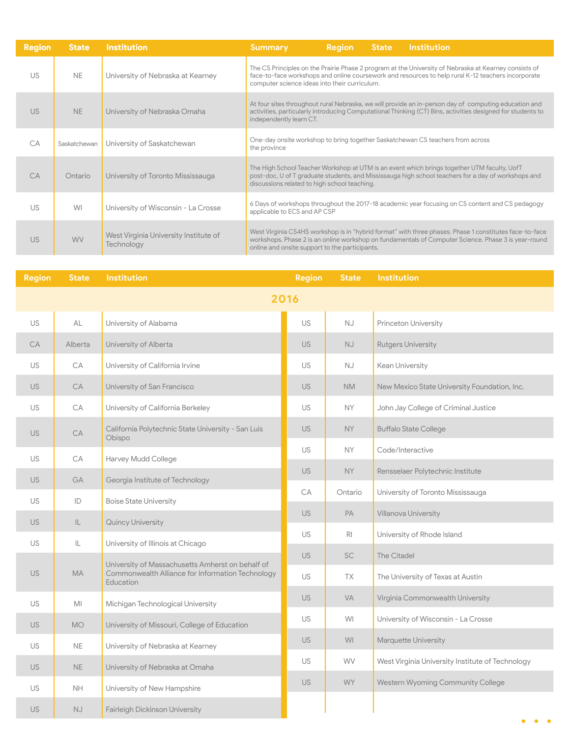| <b>Region</b> | <b>State</b> | <b>Institution</b>                                  | <b>Institution</b><br><b>Region</b><br>State,<br><b>Summary</b>                                                                                                                                                                                                 |  |  |  |  |
|---------------|--------------|-----------------------------------------------------|-----------------------------------------------------------------------------------------------------------------------------------------------------------------------------------------------------------------------------------------------------------------|--|--|--|--|
| US            | <b>NE</b>    | University of Nebraska at Kearney                   | The CS Principles on the Prairie Phase 2 program at the University of Nebraska at Kearney consists of<br>face-to-face workshops and online coursework and resources to help rural K-12 teachers incorporate<br>computer science ideas into their curriculum.    |  |  |  |  |
| US.           | <b>NE</b>    | University of Nebraska Omaha                        | At four sites throughout rural Nebraska, we will provide an in-person day of computing education and<br>activities, particularly introducing Computational Thinking (CT) Bins, activities designed for students to<br>independently learn CT.                   |  |  |  |  |
| CA            | Saskatchewan | University of Saskatchewan                          | One-day onsite workshop to bring together Saskatchewan CS teachers from across<br>the province                                                                                                                                                                  |  |  |  |  |
| C.A           | Ontario      | University of Toronto Mississauga                   | The High School Teacher Workshop at UTM is an event which brings together UTM faculty, UofT<br>post-doc, U of T graduate students, and Mississauga high school teachers for a day of workshops and<br>discussions related to high school teaching.              |  |  |  |  |
| US            | WI           | University of Wisconsin - La Crosse                 | 6 Days of workshops throughout the 2017-18 academic year focusing on CS content and CS pedagogy<br>applicable to ECS and AP CSP                                                                                                                                 |  |  |  |  |
| <b>US</b>     | <b>WV</b>    | West Virginia University Institute of<br>Technology | West Virginia CS4HS workshop is in "hybrid format" with three phases. Phase 1 constitutes face-to-face<br>workshops. Phase 2 is an online workshop on fundamentals of Computer Science. Phase 3 is year-round<br>online and onsite support to the participants. |  |  |  |  |

| <b>Region</b> | <b>State</b> | <b>Institution</b>                                            | <b>Region</b> | <b>State</b>           | <b>Institution</b>                               |
|---------------|--------------|---------------------------------------------------------------|---------------|------------------------|--------------------------------------------------|
|               |              |                                                               | 2016          |                        |                                                  |
| <b>US</b>     | AL           | University of Alabama                                         | <b>US</b>     | $\mathbb{N}\mathbb{J}$ | Princeton University                             |
| <b>CA</b>     | Alberta      | University of Alberta                                         | <b>US</b>     | <b>NJ</b>              | <b>Rutgers University</b>                        |
| US            | СA           | University of California Irvine                               | US            | NJ.                    | Kean University                                  |
| <b>US</b>     | CA           | University of San Francisco                                   | US.           | <b>NM</b>              | New Mexico State University Foundation, Inc.     |
| <b>US</b>     | CA           | University of California Berkeley                             | US            | <b>NY</b>              | John Jay College of Criminal Justice             |
| <b>US</b>     | <b>CA</b>    | California Polytechnic State University - San Luis<br>Obispo  | <b>US</b>     | NY.                    | <b>Buffalo State College</b>                     |
| <b>US</b>     | CA           | Harvey Mudd College                                           | <b>US</b>     | <b>NY</b>              | Code/Interactive                                 |
| <b>US</b>     | GA           | Georgia Institute of Technology                               | <b>US</b>     | <b>NY</b>              | Rensselaer Polytechnic Institute                 |
| <b>US</b>     | ID           | <b>Boise State University</b>                                 | CA            | Ontario                | University of Toronto Mississauga                |
| <b>US</b>     | L            | Quincy University                                             | <b>US</b>     | PA                     | Villanova University                             |
| <b>US</b>     | IL.          | University of Illinois at Chicago                             | US            | R <sub>l</sub>         | University of Rhode Island                       |
|               |              | University of Massachusetts Amherst on behalf of              | <b>US</b>     | <b>SC</b>              | The Citadel                                      |
| <b>US</b>     | <b>MA</b>    | Commonwealth Alliance for Information Technology<br>Education | <b>US</b>     | TX                     | The University of Texas at Austin                |
| <b>US</b>     | MI           | Michigan Technological University                             | <b>US</b>     | <b>VA</b>              | Virginia Commonwealth University                 |
| <b>US</b>     | <b>MO</b>    | University of Missouri, College of Education                  | <b>US</b>     | WI                     | University of Wisconsin - La Crosse              |
| <b>US</b>     | <b>NE</b>    | University of Nebraska at Kearney                             | US.           | <b>WI</b>              | Marquette University                             |
| <b>US</b>     | NE           | University of Nebraska at Omaha                               | <b>US</b>     | <b>WV</b>              | West Virginia University Institute of Technology |
| <b>US</b>     | <b>NH</b>    | University of New Hampshire                                   | US.           | <b>WY</b>              | Western Wyoming Community College                |
| <b>US</b>     | <b>NJ</b>    | Fairleigh Dickinson University                                |               |                        |                                                  |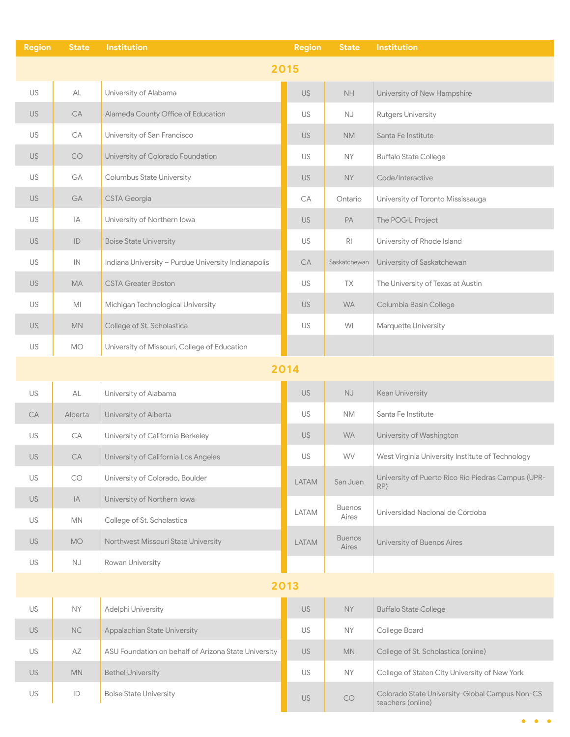| <b>Region</b> | <b>State</b>      | Institution                                          | <b>Region</b> | <b>State</b>           | <b>Institution</b>                                                  |
|---------------|-------------------|------------------------------------------------------|---------------|------------------------|---------------------------------------------------------------------|
|               |                   |                                                      | 2015          |                        |                                                                     |
| US            | AL                | University of Alabama                                | <b>US</b>     | NH                     | University of New Hampshire                                         |
| <b>US</b>     | CA                | Alameda County Office of Education                   | US            | $\mathbb{N}\mathbb{J}$ | <b>Rutgers University</b>                                           |
| US            | CA                | University of San Francisco                          | <b>US</b>     | <b>NM</b>              | Santa Fe Institute                                                  |
| <b>US</b>     | $\mathop{\rm CO}$ | University of Colorado Foundation                    | US            | <b>NY</b>              | <b>Buffalo State College</b>                                        |
| US            | GA                | Columbus State University                            | <b>US</b>     | <b>NY</b>              | Code/Interactive                                                    |
| <b>US</b>     | GA                | <b>CSTA Georgia</b>                                  | СA            | Ontario                | University of Toronto Mississauga                                   |
| US            | IA                | University of Northern lowa                          | <b>US</b>     | PA                     | The POGIL Project                                                   |
| <b>US</b>     | ID                | <b>Boise State University</b>                        | US            | $\mathsf{R}\mathsf{I}$ | University of Rhode Island                                          |
| US            | IN                | Indiana University - Purdue University Indianapolis  | CA            | Saskatchewan           | University of Saskatchewan                                          |
| <b>US</b>     | <b>MA</b>         | <b>CSTA Greater Boston</b>                           | US            | TX                     | The University of Texas at Austin                                   |
| US            | MI                | Michigan Technological University                    | <b>US</b>     | <b>WA</b>              | Columbia Basin College                                              |
| <b>US</b>     | <b>MN</b>         | College of St. Scholastica                           | US            | WI                     | Marquette University                                                |
| US            | <b>MO</b>         | University of Missouri, College of Education         |               |                        |                                                                     |
|               |                   |                                                      | 2014          |                        |                                                                     |
| US            | AL                | University of Alabama                                | <b>US</b>     | $\mathbb{N}\mathbb{J}$ | <b>Kean University</b>                                              |
| <b>CA</b>     | Alberta           | University of Alberta                                | US            | <b>NM</b>              | Santa Fe Institute                                                  |
| US            | CA                | University of California Berkeley                    | <b>US</b>     | <b>WA</b>              | University of Washington                                            |
| US            | CA                | University of California Los Angeles                 | US            | WV                     | West Virginia University Institute of Technology                    |
| US            | CO                | University of Colorado, Boulder                      | <b>LATAM</b>  | San Juan               | University of Puerto Rico Río Piedras Campus (UPR-<br>RP)           |
| <b>US</b>     | IA.               | University of Northern Iowa                          |               | <b>Buenos</b>          |                                                                     |
| US            | <b>MN</b>         | College of St. Scholastica                           | LATAM         | Aires                  | Universidad Nacional de Córdoba                                     |
| <b>US</b>     | <b>MO</b>         | Northwest Missouri State University                  | LATAM         | <b>Buenos</b><br>Aires | University of Buenos Aires                                          |
| US            | NJ                | Rowan University                                     |               |                        |                                                                     |
|               |                   |                                                      | 2013          |                        |                                                                     |
| US            | <b>NY</b>         | Adelphi University                                   | <b>US</b>     | <b>NY</b>              | <b>Buffalo State College</b>                                        |
| <b>US</b>     | $\rm NC$          | Appalachian State University                         | US            | NY.                    | College Board                                                       |
| US            | AZ                | ASU Foundation on behalf of Arizona State University | <b>US</b>     | <b>MN</b>              | College of St. Scholastica (online)                                 |
| US            | <b>MN</b>         | <b>Bethel University</b>                             | US            | <b>NY</b>              | College of Staten City University of New York                       |
| US            | ID                | <b>Boise State University</b>                        | US            | CO                     | Colorado State University-Global Campus Non-CS<br>teachers (online) |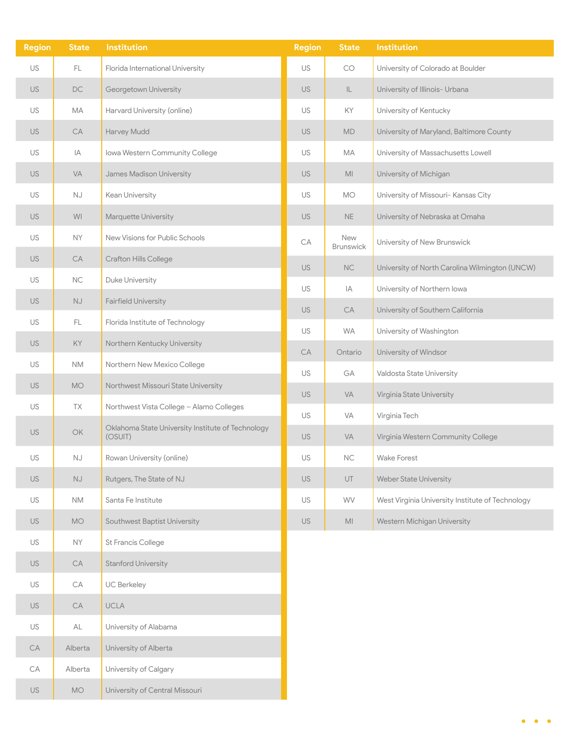| <b>Region</b> | <b>State</b>           | <b>Institution</b>                                           | <b>Region</b> | <b>State</b>     | <b>Institution</b>                               |
|---------------|------------------------|--------------------------------------------------------------|---------------|------------------|--------------------------------------------------|
| US            | FL                     | Florida International University                             | US            | CO               | University of Colorado at Boulder                |
| <b>US</b>     | $\mathsf{DC}$          | Georgetown University                                        | <b>US</b>     | $\mathsf{IL}$    | University of Illinois- Urbana                   |
| US            | MA                     | Harvard University (online)                                  | US            | KY               | University of Kentucky                           |
| <b>US</b>     | CA                     | Harvey Mudd                                                  | <b>US</b>     | <b>MD</b>        | University of Maryland, Baltimore County         |
| US            | IA                     | Iowa Western Community College                               | US            | МA               | University of Massachusetts Lowell               |
| <b>US</b>     | VA                     | James Madison University                                     | <b>US</b>     | MI               | University of Michigan                           |
| US            | NJ                     | Kean University                                              | US            | <b>MO</b>        | University of Missouri- Kansas City              |
| <b>US</b>     | WI                     | Marquette University                                         | <b>US</b>     | <b>NE</b>        | University of Nebraska at Omaha                  |
| US            | <b>NY</b>              | New Visions for Public Schools                               | CA            | New<br>Brunswick | University of New Brunswick                      |
| <b>US</b>     | ${\sf CA}$             | Crafton Hills College                                        | <b>US</b>     | <b>NC</b>        | University of North Carolina Wilmington (UNCW)   |
| US            | $\rm NC$               | Duke University                                              | US            | IA               | University of Northern lowa                      |
| <b>US</b>     | NJ                     | <b>Fairfield University</b>                                  | <b>US</b>     | ${\sf CA}$       | University of Southern California                |
| US            | FL                     | Florida Institute of Technology                              | US            | <b>WA</b>        | University of Washington                         |
| <b>US</b>     | KY                     | Northern Kentucky University                                 | ${\sf CA}$    | Ontario          | University of Windsor                            |
| US            | <b>NM</b>              | Northern New Mexico College                                  | US            | GA               | Valdosta State University                        |
| <b>US</b>     | $MO$                   | Northwest Missouri State University                          | <b>US</b>     | <b>VA</b>        | Virginia State University                        |
| US            | TX                     | Northwest Vista College - Alamo Colleges                     | US            | VA               | Virginia Tech                                    |
| <b>US</b>     | <b>OK</b>              | Oklahoma State University Institute of Technology<br>(OSUIT) | <b>US</b>     | <b>VA</b>        | Virginia Western Community College               |
| US            | <b>NJ</b>              | Rowan University (online)                                    | US            | NC               | Wake Forest                                      |
| US            | $\mathbb{N}\mathbb{J}$ | Rutgers, The State of NJ                                     | US            | UT               | <b>Weber State University</b>                    |
| US            | <b>NM</b>              | Santa Fe Institute                                           | US            | WV               | West Virginia University Institute of Technology |
| <b>US</b>     | <b>MO</b>              | Southwest Baptist University                                 | US            | M <sub>l</sub>   | Western Michigan University                      |
| US            | <b>NY</b>              | <b>St Francis College</b>                                    |               |                  |                                                  |
| <b>US</b>     | CA                     | <b>Stanford University</b>                                   |               |                  |                                                  |
| US            | CA                     | UC Berkeley                                                  |               |                  |                                                  |
| US            | CA                     | UCLA                                                         |               |                  |                                                  |
| US            | AL                     | University of Alabama                                        |               |                  |                                                  |
| CA            | Alberta                | University of Alberta                                        |               |                  |                                                  |
| CA            | Alberta                | University of Calgary                                        |               |                  |                                                  |
| US            | MO                     | University of Central Missouri                               |               |                  |                                                  |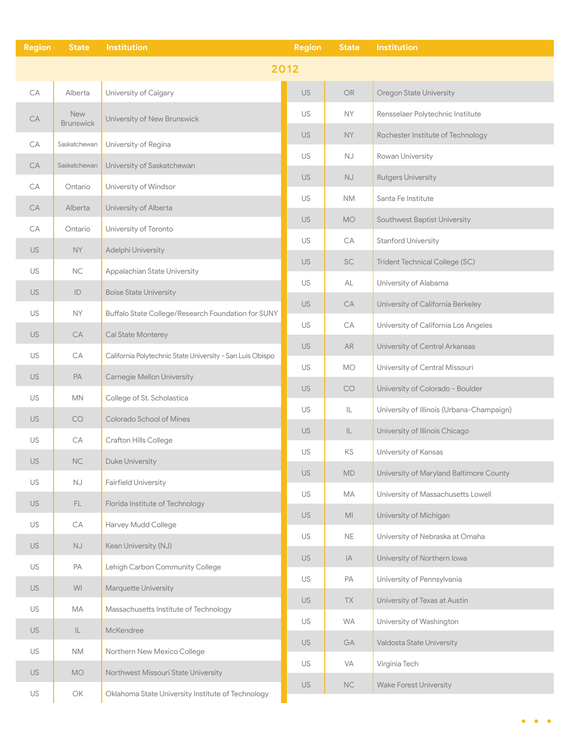| <b>Region</b> | <b>State</b>                   | Institution                                               | <b>Region</b> | <b>State</b>                      | <b>Institution</b>                        |
|---------------|--------------------------------|-----------------------------------------------------------|---------------|-----------------------------------|-------------------------------------------|
|               |                                | 2012                                                      |               |                                   |                                           |
| CA            | Alberta                        | University of Calgary                                     | <b>US</b>     | $\mathsf{OR}$                     | <b>Oregon State University</b>            |
| CA            | <b>New</b><br><b>Brunswick</b> | University of New Brunswick                               | US            | <b>NY</b>                         | Rensselaer Polytechnic Institute          |
| CA            | Saskatchewan                   | University of Regina                                      | US.           | <b>NY</b>                         | Rochester Institute of Technology         |
| CA            | Saskatchewan                   | University of Saskatchewan                                | US            | $\mathbb{N}\mathbb{J}$            | Rowan University                          |
| СA            | Ontario                        | University of Windsor                                     | <b>US</b>     | $\mathbb{N}\mathbb{J}$            | <b>Rutgers University</b>                 |
| CA            | Alberta                        | University of Alberta                                     | US            | <b>NM</b>                         | Santa Fe Institute                        |
| СA            | Ontario                        | University of Toronto                                     | US.           | <b>MO</b>                         | Southwest Baptist University              |
| US.           | NY                             | Adelphi University                                        | US            | CA                                | <b>Stanford University</b>                |
| US            | $\rm NC$                       | Appalachian State University                              | <b>US</b>     | <b>SC</b>                         | Trident Technical College (SC)            |
| <b>US</b>     | $\mathsf{ID}$                  | <b>Boise State University</b>                             | <b>US</b>     | AL                                | University of Alabama                     |
| US            | <b>NY</b>                      | Buffalo State College/Research Foundation for SUNY        | <b>US</b>     | CA                                | University of California Berkeley         |
| US.           | ${\sf CA}$                     | Cal State Monterey                                        | US            | CA                                | University of California Los Angeles      |
| US            | CA                             | California Polytechnic State University - San Luis Obispo | <b>US</b>     | AR                                | University of Central Arkansas            |
| US.           | PA                             | Carnegie Mellon University                                | US            | <b>MO</b>                         | University of Central Missouri            |
| US            | <b>MN</b>                      | College of St. Scholastica                                | US.           | CO                                | University of Colorado - Boulder          |
| US.           | CO                             | Colorado School of Mines                                  | US            | $\mathsf{IL}$                     | University of Illinois (Urbana-Champaign) |
| US            | CA                             | Crafton Hills College                                     | US.           | $\ensuremath{\mathsf{IL}}\xspace$ | University of Illinois Chicago            |
| US            | $\rm NC$                       | Duke University                                           | US            | KS                                | University of Kansas                      |
| US            | $\mathbb{N}\mathbb{J}$         | <b>Fairfield University</b>                               | US            | MD                                | University of Maryland Baltimore County   |
| US.           | FL.                            | Florida Institute of Technology                           | <b>US</b>     | MA                                | University of Massachusetts Lowell        |
| <b>US</b>     | CA                             | Harvey Mudd College                                       | <b>US</b>     | M <sub>l</sub>                    | University of Michigan                    |
| <b>US</b>     | $\mathbb{N}\mathbb{J}$         | Kean University (NJ)                                      | <b>US</b>     | $\mathsf{NE}\xspace$              | University of Nebraska at Omaha           |
| US            | PA                             | Lehigh Carbon Community College                           | US            | $ \mathbb{A} $                    | University of Northern lowa               |
| <b>US</b>     | WI                             | Marquette University                                      | <b>US</b>     | PA                                | University of Pennsylvania                |
| US            | МA                             | Massachusetts Institute of Technology                     | US            | TX                                | University of Texas at Austin             |
| <b>US</b>     | $\mathsf{IL}$                  | McKendree                                                 | US            | WA                                | University of Washington                  |
| US            | <b>NM</b>                      | Northern New Mexico College                               | <b>US</b>     | GA                                | Valdosta State University                 |
| <b>US</b>     | <b>MO</b>                      | Northwest Missouri State University                       | US            | VA                                | Virginia Tech                             |
| US            | OK                             | Oklahoma State University Institute of Technology         | <b>US</b>     | NC                                | <b>Wake Forest University</b>             |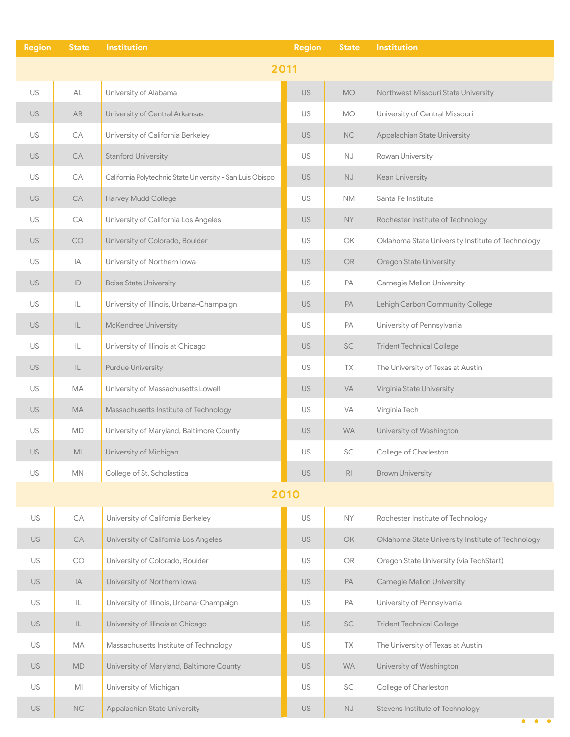| <b>Region</b> | <b>State</b>      | <b>Institution</b>                                        | <b>Region</b> | <b>State</b>           | <b>Institution</b>                                |
|---------------|-------------------|-----------------------------------------------------------|---------------|------------------------|---------------------------------------------------|
|               |                   |                                                           | 2011          |                        |                                                   |
| <b>US</b>     | AL                | University of Alabama                                     | <b>US</b>     | <b>MO</b>              | Northwest Missouri State University               |
| <b>US</b>     | AR                | University of Central Arkansas                            | US            | <b>MO</b>              | University of Central Missouri                    |
| US            | CA                | University of California Berkeley                         | <b>US</b>     | NC                     | Appalachian State University                      |
| <b>US</b>     | CA                | <b>Stanford University</b>                                | US            | <b>NJ</b>              | Rowan University                                  |
| US            | CA                | California Polytechnic State University - San Luis Obispo | US            | $\mathbb{N}\mathbb{J}$ | Kean University                                   |
| <b>US</b>     | CA                | Harvey Mudd College                                       | US            | <b>NM</b>              | Santa Fe Institute                                |
| US            | CA                | University of California Los Angeles                      | <b>US</b>     | <b>NY</b>              | Rochester Institute of Technology                 |
| <b>US</b>     | CO                | University of Colorado, Boulder                           | US            | OK                     | Oklahoma State University Institute of Technology |
| US            | IA                | University of Northern lowa                               | <b>US</b>     | <b>OR</b>              | <b>Oregon State University</b>                    |
| <b>US</b>     | ID                | <b>Boise State University</b>                             | US            | PA                     | Carnegie Mellon University                        |
| US            | IL                | University of Illinois, Urbana-Champaign                  | <b>US</b>     | PA                     | Lehigh Carbon Community College                   |
| <b>US</b>     | IL.               | McKendree University                                      | US            | PA                     | University of Pennsylvania                        |
| US            | IL                | University of Illinois at Chicago                         | <b>US</b>     | SC                     | <b>Trident Technical College</b>                  |
| <b>US</b>     | $\mathsf{IL}$     | <b>Purdue University</b>                                  | US            | TX                     | The University of Texas at Austin                 |
| US            | МA                | University of Massachusetts Lowell                        | US.           | <b>VA</b>              | Virginia State University                         |
| <b>US</b>     | MA                | Massachusetts Institute of Technology                     | US            | VA                     | Virginia Tech                                     |
| US            | MD                | University of Maryland, Baltimore County                  | <b>US</b>     | <b>WA</b>              | University of Washington                          |
| <b>US</b>     | MI                | University of Michigan                                    | US            | SC                     | College of Charleston                             |
| US            | MN                | College of St. Scholastica                                | US            | R <sub>l</sub>         | <b>Brown University</b>                           |
|               |                   |                                                           | 2010          |                        |                                                   |
| US            | CA                | University of California Berkeley                         | US            | NY                     | Rochester Institute of Technology                 |
| US.           | CA                | University of California Los Angeles                      | US.           | OK                     | Oklahoma State University Institute of Technology |
| US            | $\mathop{\rm CO}$ | University of Colorado, Boulder                           | US            | OR                     | Oregon State University (via TechStart)           |
| US            | IA                | University of Northern lowa                               | <b>US</b>     | PA                     | Carnegie Mellon University                        |
| US            | IL                | University of Illinois, Urbana-Champaign                  | US            | PA                     | University of Pennsylvania                        |
| <b>US</b>     | IL                | University of Illinois at Chicago                         | <b>US</b>     | <b>SC</b>              | <b>Trident Technical College</b>                  |
| US            | МA                | Massachusetts Institute of Technology                     | US            | TX                     | The University of Texas at Austin                 |
| <b>US</b>     | <b>MD</b>         | University of Maryland, Baltimore County                  | US.           | <b>WA</b>              | University of Washington                          |
| US            | MI                | University of Michigan                                    | US            | SC                     | College of Charleston                             |
| <b>US</b>     | NC                | Appalachian State University                              | US            | <b>NJ</b>              | Stevens Institute of Technology                   |